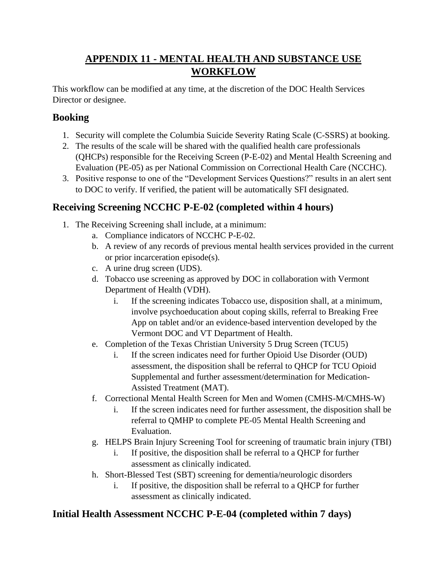# **APPENDIX 11 - MENTAL HEALTH AND SUBSTANCE USE WORKFLOW**

This workflow can be modified at any time, at the discretion of the DOC Health Services Director or designee.

## **Booking**

- 1. Security will complete the Columbia Suicide Severity Rating Scale (C-SSRS) at booking.
- 2. The results of the scale will be shared with the qualified health care professionals (QHCPs) responsible for the Receiving Screen (P-E-02) and Mental Health Screening and Evaluation (PE-05) as per National Commission on Correctional Health Care (NCCHC).
- 3. Positive response to one of the "Development Services Questions?" results in an alert sent to DOC to verify. If verified, the patient will be automatically SFI designated.

# **Receiving Screening NCCHC P-E-02 (completed within 4 hours)**

- 1. The Receiving Screening shall include, at a minimum:
	- a. Compliance indicators of NCCHC P-E-02.
	- b. A review of any records of previous mental health services provided in the current or prior incarceration episode(s).
	- c. A urine drug screen (UDS).
	- d. Tobacco use screening as approved by DOC in collaboration with Vermont Department of Health (VDH).
		- i. If the screening indicates Tobacco use, disposition shall, at a minimum, involve psychoeducation about coping skills, referral to Breaking Free App on tablet and/or an evidence-based intervention developed by the Vermont DOC and VT Department of Health.
	- e. Completion of the Texas Christian University 5 Drug Screen (TCU5)
		- i. If the screen indicates need for further Opioid Use Disorder (OUD) assessment, the disposition shall be referral to QHCP for TCU Opioid Supplemental and further assessment/determination for Medication-Assisted Treatment (MAT).
	- f. Correctional Mental Health Screen for Men and Women (CMHS-M/CMHS-W)
		- i. If the screen indicates need for further assessment, the disposition shall be referral to QMHP to complete PE-05 Mental Health Screening and Evaluation.
	- g. HELPS Brain Injury Screening Tool for screening of traumatic brain injury (TBI)
		- i. If positive, the disposition shall be referral to a QHCP for further assessment as clinically indicated.
	- h. Short-Blessed Test (SBT) screening for dementia/neurologic disorders
		- i. If positive, the disposition shall be referral to a QHCP for further assessment as clinically indicated.

# **Initial Health Assessment NCCHC P-E-04 (completed within 7 days)**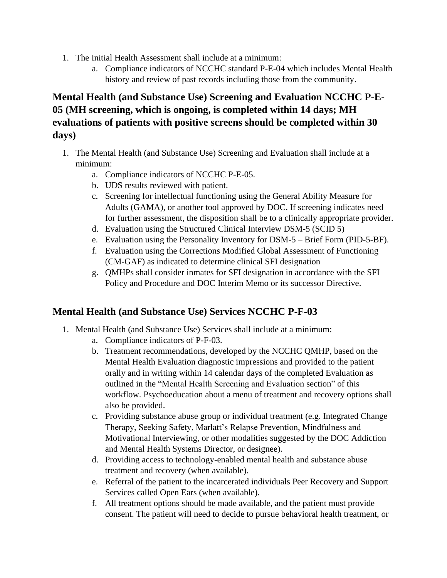- 1. The Initial Health Assessment shall include at a minimum:
	- a. Compliance indicators of NCCHC standard P-E-04 which includes Mental Health history and review of past records including those from the community.

## **Mental Health (and Substance Use) Screening and Evaluation NCCHC P-E-05 (MH screening, which is ongoing, is completed within 14 days; MH evaluations of patients with positive screens should be completed within 30 days)**

- 1. The Mental Health (and Substance Use) Screening and Evaluation shall include at a minimum:
	- a. Compliance indicators of NCCHC P-E-05.
	- b. UDS results reviewed with patient.
	- c. Screening for intellectual functioning using the General Ability Measure for Adults (GAMA), or another tool approved by DOC. If screening indicates need for further assessment, the disposition shall be to a clinically appropriate provider.
	- d. Evaluation using the Structured Clinical Interview DSM-5 (SCID 5)
	- e. Evaluation using the Personality Inventory for DSM-5 Brief Form (PID-5-BF).
	- f. Evaluation using the Corrections Modified Global Assessment of Functioning (CM-GAF) as indicated to determine clinical SFI designation
	- g. QMHPs shall consider inmates for SFI designation in accordance with the SFI Policy and Procedure and DOC Interim Memo or its successor Directive.

#### **Mental Health (and Substance Use) Services NCCHC P-F-03**

- 1. Mental Health (and Substance Use) Services shall include at a minimum:
	- a. Compliance indicators of P-F-03.
	- b. Treatment recommendations, developed by the NCCHC QMHP, based on the Mental Health Evaluation diagnostic impressions and provided to the patient orally and in writing within 14 calendar days of the completed Evaluation as outlined in the "Mental Health Screening and Evaluation section" of this workflow. Psychoeducation about a menu of treatment and recovery options shall also be provided.
	- c. Providing substance abuse group or individual treatment (e.g. Integrated Change Therapy, Seeking Safety, Marlatt's Relapse Prevention, Mindfulness and Motivational Interviewing, or other modalities suggested by the DOC Addiction and Mental Health Systems Director, or designee).
	- d. Providing access to technology-enabled mental health and substance abuse treatment and recovery (when available).
	- e. Referral of the patient to the incarcerated individuals Peer Recovery and Support Services called Open Ears (when available).
	- f. All treatment options should be made available, and the patient must provide consent. The patient will need to decide to pursue behavioral health treatment, or